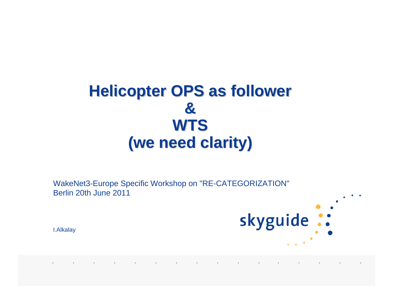## **Helicopter OPS as follower & &WTS(we need clarity) (we need clarity)**

WakeNet3-Europe Specific Workshop on "RE-CATEGORIZATION" Berlin 20th June 2011

I.Alkalay

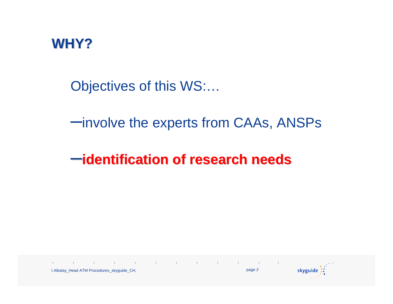

Objectives of this WS:…

–involve the experts from CAAs, ANSPs

–**identification of research needs identification of research needs**



I.Alkalay\_Head ATM Procedures\_skyguide\_CH, page <sup>2</sup>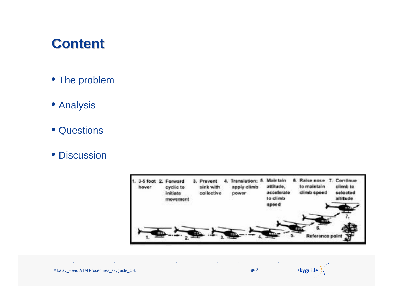#### **Content Content**

- The problem
- Analysis
- Questions
- Discussion



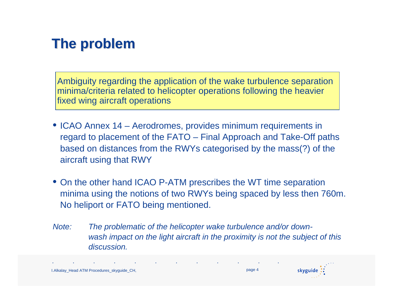### **The problem problem**

Ambiguity regarding the application of the wake turbulence separation minima/criteria related to helicopter operations following the heavier fixed wing aircraft operations

- ICAO Annex 14 Aerodromes, provides minimum requirements in regard to placement of the FATO – Final Approach and Take-Off paths based on distances from the RWYs categorised by the mass(?) of the aircraft using that RWY
- On the other hand ICAO P-ATM prescribes the WT time separation minima using the notions of two RWYs being spaced by less then 760m. No heliport or FATO being mentioned.
- *Note: The problematic of the helicopter wake turbulence and/or downwash impact on the light aircraft in the proximity is not the subject of this discussion.*

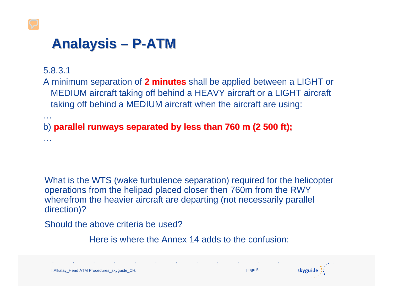### **Analaysis Analaysis –P-ATM**

```
5.8.3.1 
A minimum separation of 2 minutes 2 minutes shall be applied between a LIGHT or 
  MEDIUM aircraft taking off behind a HEAVY aircraft or a LIGHT aircraft 
  taking off behind a MEDIUM aircraft when the aircraft are using:
…b) parallel runways separated by less than 760 m (2 500 ft); parallel runways separated by less than 760 m (2 500 ft);
…
```
What is the WTS (wake turbulence separation) required for the helicopter operations from the helipad placed closer then 760m from the RWY wherefrom the heavier aircraft are departing (not necessarily parallel direction)?

Should the above criteria be used?

Here is where the Annex 14 adds to the confusion:

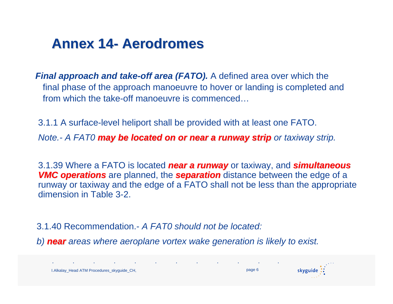#### **Annex 14 Annex 14-Aerodromes Aerodromes**

*Final approach and take-off area (FATO).* A defined area over which the final phase of the approach manoeuvre to hover or landing is completed and from which the take-off manoeuvre is commenced…

3.1.1 A surface-level heliport shall be provided with at least one FATO.

*Note.- A FAT0 may be located on or near a runway strip may be located on or near a runway strip or taxiway strip.*

3.1.39 Where a FATO is located **near a runway** or taxiway, and **simultaneous VMC operations** are planned, the **separation** distance between the edge of a runway or taxiway and the edge of a FATO shall not be less than the appropriate dimension in Table 3-2.

3.1.40 Recommendation.- *A FAT0 should not be located:*

*b) nearareas where aeroplane vortex wake generation is likely to exist.*

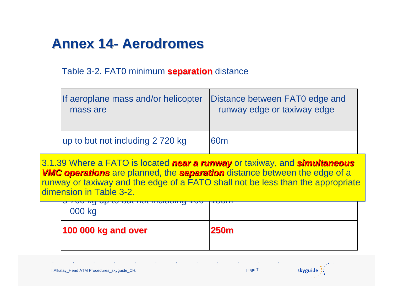#### **Annex 14 Annex 14-Aerodromes Aerodromes**

Table 3-2. FAT0 minimum **separation** distance

| If aeroplane mass and/or helicopter | Distance between FAT0 edge and |
|-------------------------------------|--------------------------------|
| mass are                            | runway edge or taxiway edge    |
| up to but not including 2 720 kg    | <b>60m</b>                     |

**VMC operations** are planned, the **separation** distance between the edge of a runway or taxiway and the edge of a FATO shall not be less than the appropriate 3.1.39 Where a FATO is located **near a runway** or taxiway, and **simultaneous** dimension in Table 3-2.

| <del>o roo ng up to but not moraling</del> roo<br>000 kg | TUUT        |
|----------------------------------------------------------|-------------|
| <b>100 000 kg and over</b>                               | <b>250m</b> |

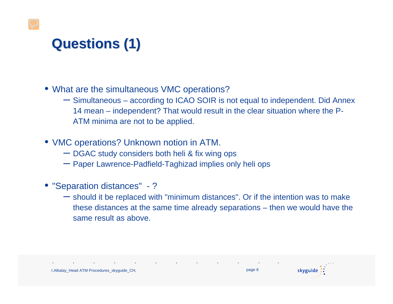## **Questions (1) Questions (1)**

- What are the simultaneous VMC operations?
	- Simultaneous according to ICAO SOIR is not equal to independent. Did Annex 14 mean – independent? That would result in the clear situation where the P-ATM minima are not to be applied.
- VMC operations? Unknown notion in ATM.
	- DGAC study considers both heli & fix wing ops
	- Paper Lawrence-Padfield-Taghizad implies only heli ops
- "Separation distances" ?
	- should it be replaced with "minimum distances". Or if the intention was to make these distances at the same time already separations – then we would have the same result as above.

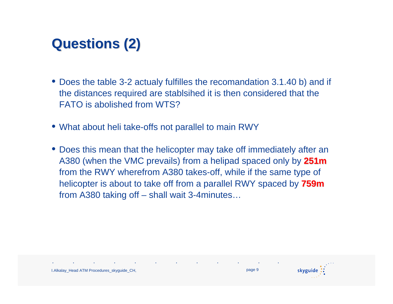## **Questions (2) Questions (2)**

- Does the table 3-2 actualy fulfilles the recomandation 3.1.40 b) and if the distances required are stablsihed it is then considered that the FATO is abolished from WTS?
- What about heli take-offs not parallel to main RWY
- Does this mean that the helicopter may take off immediately after an A380 (when the VMC prevails) from a helipad spaced only by **251m** from the RWY wherefrom A380 takes-off, while if the same type of helicopter is about to take off from a parallel RWY spaced by **759m** from A380 taking off – shall wait 3-4minutes…

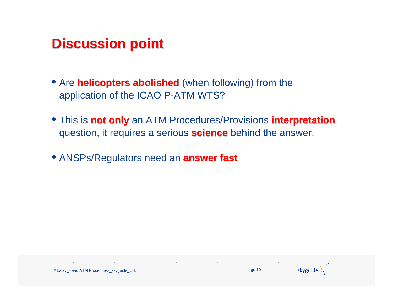#### **Discussion point Discussion point**

- Are **helicopters abolished** (when following) from the application of the ICAO P-ATM WTS?
- **This is not only** an ATM Procedures/Provisions **interpretation** question, it requires a serious **science** behind the answer.
- **ANSPs/Regulators need an answer fast**